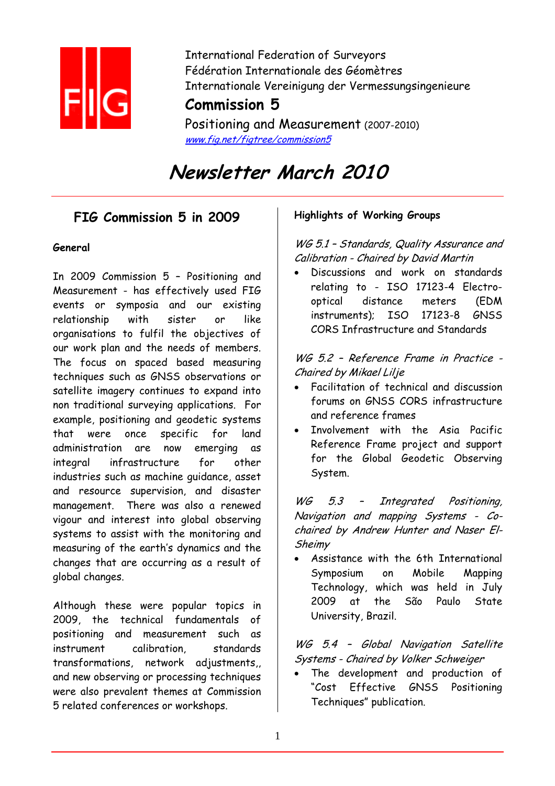

International Federation of Surveyors Fédération Internationale des Géomètres Internationale Vereinigung der Vermessungsingenieure

# **Commission 5**

Positioning and Measurement (2007-2010) www.fig.net/figtree/commission5

# **Newsletter March 2010**

# **FIG Commission 5 in 2009**

### **General**

In 2009 Commission 5 – Positioning and Measurement - has effectively used FIG events or symposia and our existing relationship with sister or like organisations to fulfil the objectives of our work plan and the needs of members. The focus on spaced based measuring techniques such as GNSS observations or satellite imagery continues to expand into non traditional surveying applications. For example, positioning and geodetic systems that were once specific for land administration are now emerging as integral infrastructure for other industries such as machine guidance, asset and resource supervision, and disaster management. There was also a renewed vigour and interest into global observing systems to assist with the monitoring and measuring of the earth's dynamics and the changes that are occurring as a result of global changes.

Although these were popular topics in 2009, the technical fundamentals of positioning and measurement such as instrument calibration, standards transformations, network adjustments,, and new observing or processing techniques were also prevalent themes at Commission 5 related conferences or workshops.

### **Highlights of Working Groups**

WG 5.1 - Standards, Quality Assurance and Calibration - Chaired by David Martin

• Discussions and work on standards relating to - ISO 17123-4 Electrooptical distance meters (EDM instruments); ISO 17123-8 GNSS CORS Infrastructure and Standards

WG 5.2 – Reference Frame in Practice - Chaired by Mikael Lilje

- Facilitation of technical and discussion forums on GNSS CORS infrastructure and reference frames
- Involvement with the Asia Pacific Reference Frame project and support for the Global Geodetic Observing System.

WG 5.3 - Integrated Positioning, Navigation and mapping Systems - Cochaired by Andrew Hunter and Naser El-Sheimy

• Assistance with the 6th International Symposium on Mobile Mapping Technology, which was held in July 2009 at the São Paulo State University, Brazil.

WG 5.4 – Global Navigation Satellite Systems - Chaired by Volker Schweiger

The development and production of "Cost Effective GNSS Positioning Techniques" publication.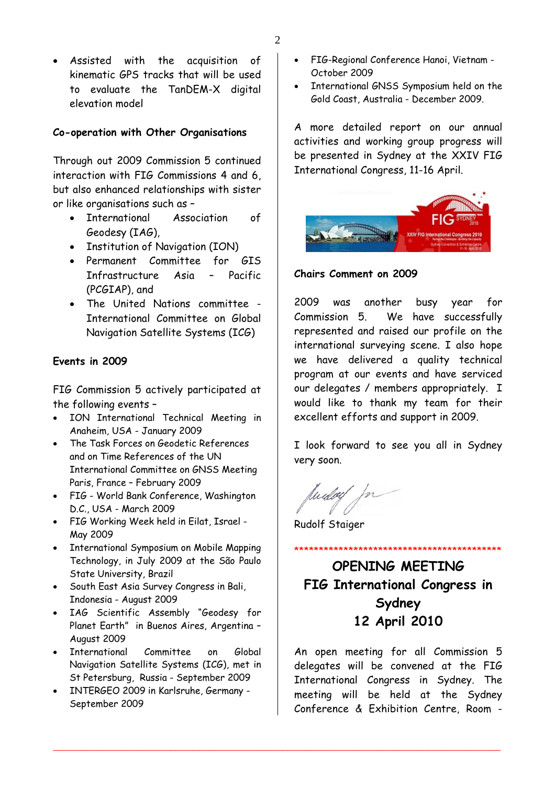• Assisted with the acquisition of kinematic GPS tracks that will be used to evaluate the TanDEM-X digital elevation model

### **Co-operation with Other Organisations**

Through out 2009 Commission 5 continued interaction with FIG Commissions 4 and 6, but also enhanced relationships with sister or like organisations such as –

- International Association of Geodesy (IAG),
- Institution of Navigation (ION)
- Permanent Committee for GIS Infrastructure Asia – Pacific (PCGIAP), and
- The United Nations committee International Committee on Global Navigation Satellite Systems (ICG)

### **Events in 2009**

FIG Commission 5 actively participated at the following events –

- ION International Technical Meeting in Anaheim, USA - January 2009
- The Task Forces on Geodetic References and on Time References of the UN International Committee on GNSS Meeting Paris, France – February 2009
- FIG World Bank Conference, Washington D.C., USA - March 2009
- FIG Working Week held in Eilat, Israel May 2009
- International Symposium on Mobile Mapping Technology, in July 2009 at the São Paulo State University, Brazil
- South East Asia Survey Congress in Bali, Indonesia - August 2009
- IAG Scientific Assembly "Geodesy for Planet Earth" in Buenos Aires, Argentina – August 2009
- International Committee on Global Navigation Satellite Systems (ICG), met in St Petersburg, Russia - September 2009
- INTERGEO 2009 in Karlsruhe, Germany September 2009
- FIG-Regional Conference Hanoi, Vietnam October 2009
- International GNSS Symposium held on the Gold Coast, Australia - December 2009.

A more detailed report on our annual activities and working group progress will be presented in Sydney at the XXIV FIG International Congress, 11-16 April.



#### **Chairs Comment on 2009**

2009 was another busy year for Commission 5. We have successfully represented and raised our profile on the international surveying scene. I also hope we have delivered a quality technical program at our events and have serviced our delegates / members appropriately. I would like to thank my team for their excellent efforts and support in 2009.

I look forward to see you all in Sydney very soon.

Mudoy

Rudolf Staiger

\_\_\_\_\_\_\_\_\_\_\_\_\_\_\_\_\_\_\_\_\_\_\_\_\_\_\_\_\_\_\_\_\_\_\_\_\_\_\_\_\_\_\_\_\_\_\_\_\_\_\_\_\_\_\_\_\_\_\_\_\_\_\_\_\_\_\_\_\_\_\_\_\_\_\_\_\_\_\_\_

**OPENING MEETING FIG International Congress in Sydney 12 April 2010** 

\*\*\*\*\*\*\*\*\*\*\*\*\*\*\*\*\*\*\*\*\*\*\*\*\*\*\*\*\*\*\*\*\*\*\*\*\*\*\*\*\*\*

An open meeting for all Commission 5 delegates will be convened at the FIG International Congress in Sydney. The meeting will be held at the Sydney Conference & Exhibition Centre, Room -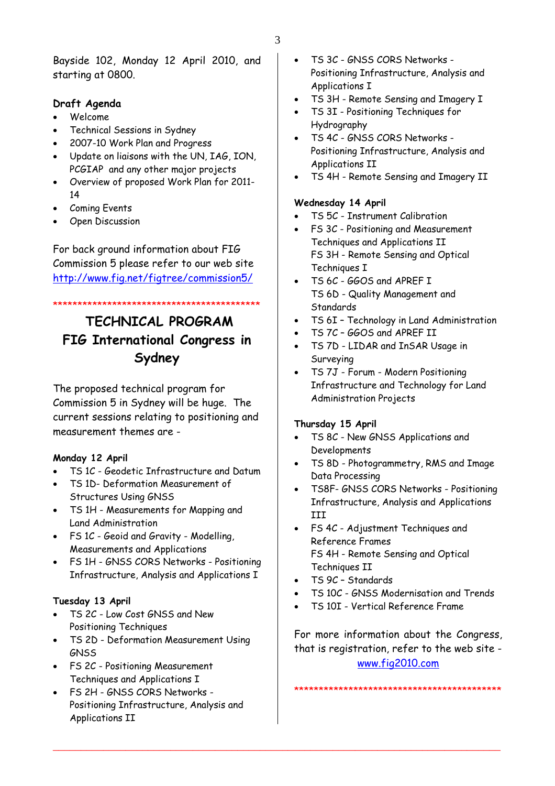Bayside 102, Monday 12 April 2010, and starting at 0800.

### **Draft Agenda**

- Welcome
- Technical Sessions in Sydney
- 2007-10 Work Plan and Progress
- Update on liaisons with the UN, IAG, ION, PCGIAP and any other major projects
- Overview of proposed Work Plan for 2011- 14
- Coming Events
- Open Discussion

For back ground information about FIG Commission 5 please refer to our web site <http://www.fig.net/figtree/commission5/>

### \*\*\*\*\*\*\*\*\*\*\*\*\*\*\*\*\*\*\*\*\*\*\*\*\*\*\*\*\*\*\*\*\*\*\*\*\*\*\*\*\*\*

# **TECHNICAL PROGRAM FIG International Congress in Sydney**

The proposed technical program for Commission 5 in Sydney will be huge. The current sessions relating to positioning and measurement themes are -

### **Monday 12 April**

- TS 1C Geodetic Infrastructure and Datum
- TS 1D- Deformation Measurement of Structures Using GNSS
- TS 1H Measurements for Mapping and Land Administration
- FS 1C Geoid and Gravity Modelling, Measurements and Applications
- FS 1H GNSS CORS Networks Positioning Infrastructure, Analysis and Applications I

### **Tuesday 13 April**

- TS 2C Low Cost GNSS and New Positioning Techniques
- TS 2D Deformation Measurement Using **GNSS**
- FS 2C Positioning Measurement Techniques and Applications I
- FS 2H GNSS CORS Networks Positioning Infrastructure, Analysis and Applications II
- TS 3C GNSS CORS Networks Positioning Infrastructure, Analysis and Applications I
- TS 3H Remote Sensing and Imagery I
- TS 3I Positioning Techniques for Hydrography
- TS 4C GNSS CORS Networks Positioning Infrastructure, Analysis and Applications II
- TS 4H Remote Sensing and Imagery II

### **Wednesday 14 April**

- TS 5C Instrument Calibration
- FS 3C Positioning and Measurement Techniques and Applications II FS 3H - Remote Sensing and Optical Techniques I
- TS 6C GGOS and APREF I TS 6D - Quality Management and **Standards**
- TS 6I Technology in Land Administration
- TS 7C GGOS and APREF II
- TS 7D LIDAR and InSAR Usage in Surveying
- TS 7J Forum Modern Positioning Infrastructure and Technology for Land Administration Projects

### **Thursday 15 April**

- TS 8C New GNSS Applications and Developments
- TS 8D Photogrammetry, RMS and Image Data Processing
- TS8F- GNSS CORS Networks Positioning Infrastructure, Analysis and Applications III
- FS 4C Adjustment Techniques and Reference Frames FS 4H - Remote Sensing and Optical Techniques II
- TS 9C Standards

\_\_\_\_\_\_\_\_\_\_\_\_\_\_\_\_\_\_\_\_\_\_\_\_\_\_\_\_\_\_\_\_\_\_\_\_\_\_\_\_\_\_\_\_\_\_\_\_\_\_\_\_\_\_\_\_\_\_\_\_\_\_\_\_\_\_\_\_\_\_\_\_\_\_\_\_\_\_\_\_

- TS 10C GNSS Modernisation and Trends
- TS 10I Vertical Reference Frame

For more information about the Congress, that is registration, refer to the web site [www.fig2010.com](http://www.fig2010.com/)

\*\*\*\*\*\*\*\*\*\*\*\*\*\*\*\*\*\*\*\*\*\*\*\*\*\*\*\*\*\*\*\*\*\*\*\*\*\*\*\*\*\*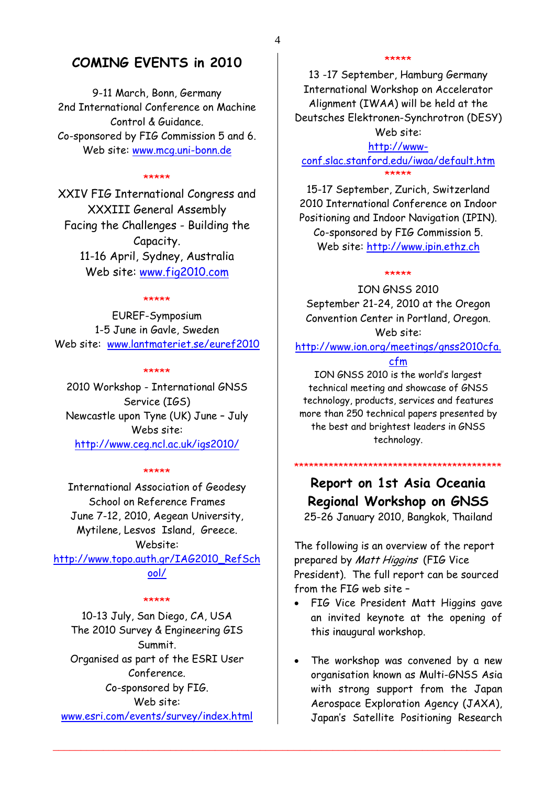### **COMING EVENTS in 2010**

9-11 March, Bonn, Germany 2nd International Conference on Machine Control & Guidance. Co-sponsored by FIG Commission 5 and 6. Web site: [www.mcg.uni-bonn.de](http://www.mcg.uni-bonn.de/)

#### \*\*\*\*\*

XXIV FIG International Congress and XXXIII General Assembly Facing the Challenges - Building the Capacity. 11-16 April, Sydney, Australia Web site: [www.fig2010.com](http://www.fig2010.com/)

#### \*\*\*\*\*

EUREF-Symposium 1-5 June in Gavle, Sweden Web site: [www.lantmateriet.se/euref2010](http://www.lantmateriet.se/euref2010)

#### \*\*\*\*\*

2010 Workshop - International GNSS Service (IGS) Newcastle upon Tyne (UK) June – July Webs site: <http://www.ceg.ncl.ac.uk/igs2010/>

#### \*\*\*\*\*

International Association of Geodesy School on Reference Frames June 7-12, 2010, Aegean University, Mytilene, Lesvos Island, Greece. Website: [http://www.topo.auth.gr/IAG2010\\_RefSch](http://www.topo.auth.gr/IAG2010_RefSchool/) [ool/](http://www.topo.auth.gr/IAG2010_RefSchool/)

#### \*\*\*\*\*

10-13 July, San Diego, CA, USA The 2010 Survey & Engineering GIS Summit. Organised as part of the ESRI User Conference. Co-sponsored by FIG. Web site: [www.esri.com/events/survey/index.html](http://www.esri.com/events/survey/index.html)

#### \*\*\*\*\*

13 -17 September, Hamburg Germany International Workshop on Accelerator Alignment (IWAA) will be held at the Deutsches Elektronen-Synchrotron (DESY) Web site:

[http://www](http://www-conf.slac.stanford.edu/iwaa/default.htm)[conf.slac.stanford.edu/iwaa/default.htm](http://www-conf.slac.stanford.edu/iwaa/default.htm)  \*\*\*\*\*

15-17 September, Zurich, Switzerland 2010 International Conference on Indoor Positioning and Indoor Navigation (IPIN). Co-sponsored by FIG Commission 5. Web site: [http://www.ipin.ethz.ch](http://www.ipin.ethz.ch/)

#### \*\*\*\*\*

ION GNSS 2010 September 21-24, 2010 at the Oregon Convention Center in Portland, Oregon. Web site:

[http://www.ion.org/meetings/gnss2010cfa.](http://www.ion.org/meetings/gnss2010cfa.cfm)

### [cfm](http://www.ion.org/meetings/gnss2010cfa.cfm)

ION GNSS 2010 is the world's largest technical meeting and showcase of GNSS technology, products, services and features more than 250 technical papers presented by the best and brightest leaders in GNSS technology.

**Report on 1st Asia Oceania Regional Workshop on GNSS** 

\*\*\*\*\*\*\*\*\*\*\*\*\*\*\*\*\*\*\*\*\*\*\*\*\*\*\*\*\*\*\*\*\*\*\*\*\*\*\*\*\*\*

25-26 January 2010, Bangkok, Thailand

The following is an overview of the report prepared by Matt Higgins (FIG Vice President). The full report can be sourced from the FIG web site –

- FIG Vice President Matt Higgins gave an invited keynote at the opening of this inaugural workshop.
- The workshop was convened by a new organisation known as Multi-GNSS Asia with strong support from the Japan Aerospace Exploration Agency (JAXA), Japan's Satellite Positioning Research

\_\_\_\_\_\_\_\_\_\_\_\_\_\_\_\_\_\_\_\_\_\_\_\_\_\_\_\_\_\_\_\_\_\_\_\_\_\_\_\_\_\_\_\_\_\_\_\_\_\_\_\_\_\_\_\_\_\_\_\_\_\_\_\_\_\_\_\_\_\_\_\_\_\_\_\_\_\_\_\_

4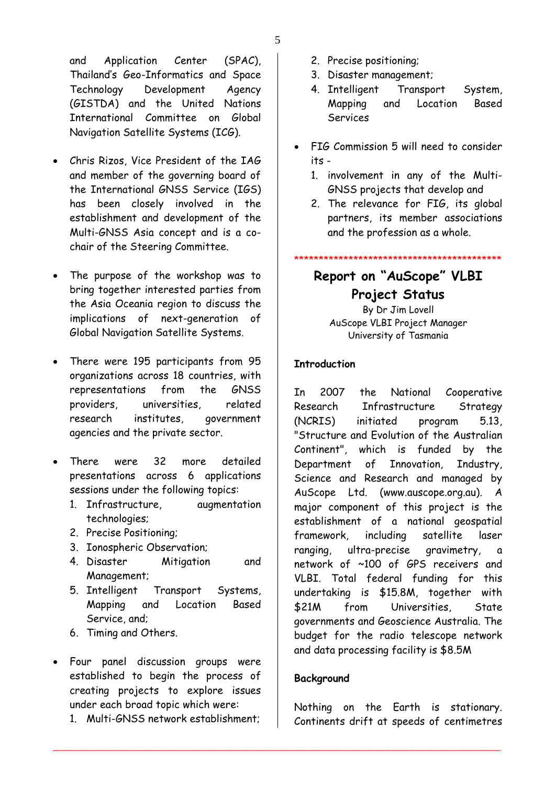and Application Center (SPAC), Thailand's Geo-Informatics and Space Technology Development Agency (GISTDA) and the United Nations International Committee on Global Navigation Satellite Systems (ICG).

- Chris Rizos, Vice President of the IAG and member of the governing board of the International GNSS Service (IGS) has been closely involved in the establishment and development of the Multi-GNSS Asia concept and is a cochair of the Steering Committee.
- The purpose of the workshop was to bring together interested parties from the Asia Oceania region to discuss the implications of next-generation of Global Navigation Satellite Systems.
- There were 195 participants from 95 organizations across 18 countries, with representations from the GNSS providers, universities, related research institutes, government agencies and the private sector.
- There were 32 more detailed presentations across 6 applications sessions under the following topics:
	- 1. Infrastructure, augmentation technologies;
	- 2. Precise Positioning;
	- 3. Ionospheric Observation;
	- 4. Disaster Mitigation and Management;
	- 5. Intelligent Transport Systems, Mapping and Location Based Service, and;
	- 6. Timing and Others.
- Four panel discussion groups were established to begin the process of creating projects to explore issues under each broad topic which were:
	- 1. Multi-GNSS network establishment;
- 2. Precise positioning;
- 3. Disaster management;
- 4. Intelligent Transport System, Mapping and Location Based Services
- FIG Commission 5 will need to consider its -
	- 1. involvement in any of the Multi-GNSS projects that develop and
	- 2. The relevance for FIG, its global partners, its member associations and the profession as a whole.

#### \*\*\*\*\*\*\*\*\*\*\*\*\*\*\*\*\*\*\*\*\*\*\*\*\*\*\*\*\*\*\*\*\*\*\*\*\*\*\*\*\*\*

# **Report on "AuScope" VLBI Project Status**

By Dr Jim Lovell AuScope VLBI Project Manager University of Tasmania

### **Introduction**

In 2007 the National Cooperative Research Infrastructure Strategy (NCRIS) initiated program 5.13, "Structure and Evolution of the Australian Continent", which is funded by the Department of Innovation, Industry, Science and Research and managed by AuScope Ltd. (www.auscope.org.au). A major component of this project is the establishment of a national geospatial framework, including satellite laser ranging, ultra-precise gravimetry, a network of ~100 of GPS receivers and VLBI. Total federal funding for this undertaking is \$15.8M, together with \$21M from Universities, State governments and Geoscience Australia. The budget for the radio telescope network and data processing facility is \$8.5M

### **Background**

\_\_\_\_\_\_\_\_\_\_\_\_\_\_\_\_\_\_\_\_\_\_\_\_\_\_\_\_\_\_\_\_\_\_\_\_\_\_\_\_\_\_\_\_\_\_\_\_\_\_\_\_\_\_\_\_\_\_\_\_\_\_\_\_\_\_\_\_\_\_\_\_\_\_\_\_\_\_\_\_

Nothing on the Earth is stationary. Continents drift at speeds of centimetres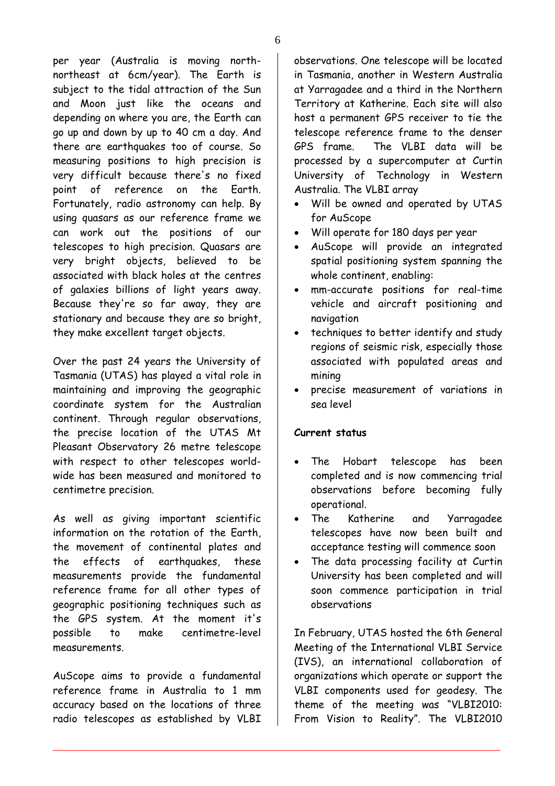per year (Australia is moving northnortheast at 6cm/year). The Earth is subject to the tidal attraction of the Sun and Moon just like the oceans and depending on where you are, the Earth can go up and down by up to 40 cm a day. And there are earthquakes too of course. So measuring positions to high precision is very difficult because there's no fixed point of reference on the Earth. Fortunately, radio astronomy can help. By using quasars as our reference frame we can work out the positions of our telescopes to high precision. Quasars are very bright objects, believed to be associated with black holes at the centres of galaxies billions of light years away. Because they're so far away, they are stationary and because they are so bright, they make excellent target objects.

Over the past 24 years the University of Tasmania (UTAS) has played a vital role in maintaining and improving the geographic coordinate system for the Australian continent. Through regular observations, the precise location of the UTAS Mt Pleasant Observatory 26 metre telescope with respect to other telescopes worldwide has been measured and monitored to centimetre precision.

As well as giving important scientific information on the rotation of the Earth, the movement of continental plates and the effects of earthquakes, these measurements provide the fundamental reference frame for all other types of geographic positioning techniques such as the GPS system. At the moment it's possible to make centimetre-level measurements.

AuScope aims to provide a fundamental reference frame in Australia to 1 mm accuracy based on the locations of three radio telescopes as established by VLBI observations. One telescope will be located in Tasmania, another in Western Australia at Yarragadee and a third in the Northern Territory at Katherine. Each site will also host a permanent GPS receiver to tie the telescope reference frame to the denser GPS frame. The VLBI data will be processed by a supercomputer at Curtin University of Technology in Western Australia. The VLBI array

- Will be owned and operated by UTAS for AuScope
- Will operate for 180 days per year
- AuScope will provide an integrated spatial positioning system spanning the whole continent, enabling:
- mm-accurate positions for real-time vehicle and aircraft positioning and navigation
- techniques to better identify and study regions of seismic risk, especially those associated with populated areas and mining
- precise measurement of variations in sea level

### **Current status**

\_\_\_\_\_\_\_\_\_\_\_\_\_\_\_\_\_\_\_\_\_\_\_\_\_\_\_\_\_\_\_\_\_\_\_\_\_\_\_\_\_\_\_\_\_\_\_\_\_\_\_\_\_\_\_\_\_\_\_\_\_\_\_\_\_\_\_\_\_\_\_\_\_\_\_\_\_\_\_\_

- The Hobart telescope has been completed and is now commencing trial observations before becoming fully operational.
- The Katherine and Yarragadee telescopes have now been built and acceptance testing will commence soon
- The data processing facility at Curtin University has been completed and will soon commence participation in trial observations

In February, UTAS hosted the 6th General Meeting of the International VLBI Service (IVS), an international collaboration of organizations which operate or support the VLBI components used for geodesy. The theme of the meeting was "VLBI2010: From Vision to Reality". The VLBI2010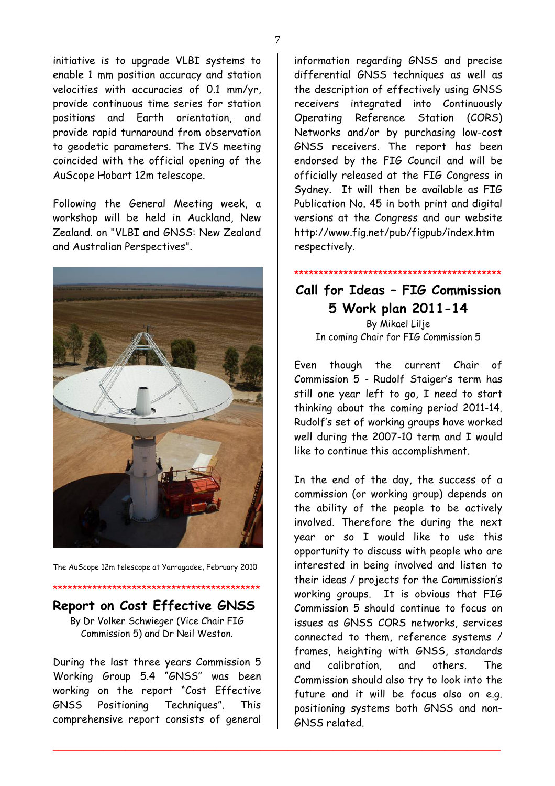initiative is to upgrade VLBI systems to enable 1 mm position accuracy and station velocities with accuracies of 0.1 mm/yr, provide continuous time series for station positions and Earth orientation, and provide rapid turnaround from observation to geodetic parameters. The IVS meeting coincided with the official opening of the AuScope Hobart 12m telescope.

Following the General Meeting week, a workshop will be held in Auckland, New Zealand. on "VLBI and GNSS: New Zealand and Australian Perspectives".



The AuScope 12m telescope at Yarragadee, February 2010

# \*\*\*\*\*\*\*\*\*\*\*\*\*\*\*\*\*\*\*\*\*\*\*\*\*\*\*\*\*\*\*\*\*\*\*\*\*\*\*\*\*\* **Report on Cost Effective GNSS**

By Dr Volker Schwieger (Vice Chair FIG Commission 5) and Dr Neil Weston.

During the last three years Commission 5 Working Group 5.4 "GNSS" was been working on the report "Cost Effective GNSS Positioning Techniques". This comprehensive report consists of general

\_\_\_\_\_\_\_\_\_\_\_\_\_\_\_\_\_\_\_\_\_\_\_\_\_\_\_\_\_\_\_\_\_\_\_\_\_\_\_\_\_\_\_\_\_\_\_\_\_\_\_\_\_\_\_\_\_\_\_\_\_\_\_\_\_\_\_\_\_\_\_\_\_\_\_\_\_\_\_\_

information regarding GNSS and precise differential GNSS techniques as well as the description of effectively using GNSS receivers integrated into Continuously Operating Reference Station (CORS) Networks and/or by purchasing low-cost GNSS receivers. The report has been endorsed by the FIG Council and will be officially released at the FIG Congress in Sydney. It will then be available as FIG Publication No. 45 in both print and digital versions at the Congress and our website http://www.fig.net/pub/figpub/index.htm respectively.

## **Call for Ideas – FIG Commission 5 Work plan 2011-14**  By Mikael Lilje

\*\*\*\*\*\*\*\*\*\*\*\*\*\*\*\*\*\*\*\*\*\*\*\*\*\*\*\*\*\*\*\*\*\*\*\*\*\*\*\*\*\*

In coming Chair for FIG Commission 5

Even though the current Chair of Commission 5 - Rudolf Staiger's term has still one year left to go, I need to start thinking about the coming period 2011-14. Rudolf's set of working groups have worked well during the 2007-10 term and I would like to continue this accomplishment.

In the end of the day, the success of a commission (or working group) depends on the ability of the people to be actively involved. Therefore the during the next year or so I would like to use this opportunity to discuss with people who are interested in being involved and listen to their ideas / projects for the Commission's working groups. It is obvious that FIG Commission 5 should continue to focus on issues as GNSS CORS networks, services connected to them, reference systems / frames, heighting with GNSS, standards and calibration, and others. The Commission should also try to look into the future and it will be focus also on e.g. positioning systems both GNSS and non-GNSS related.